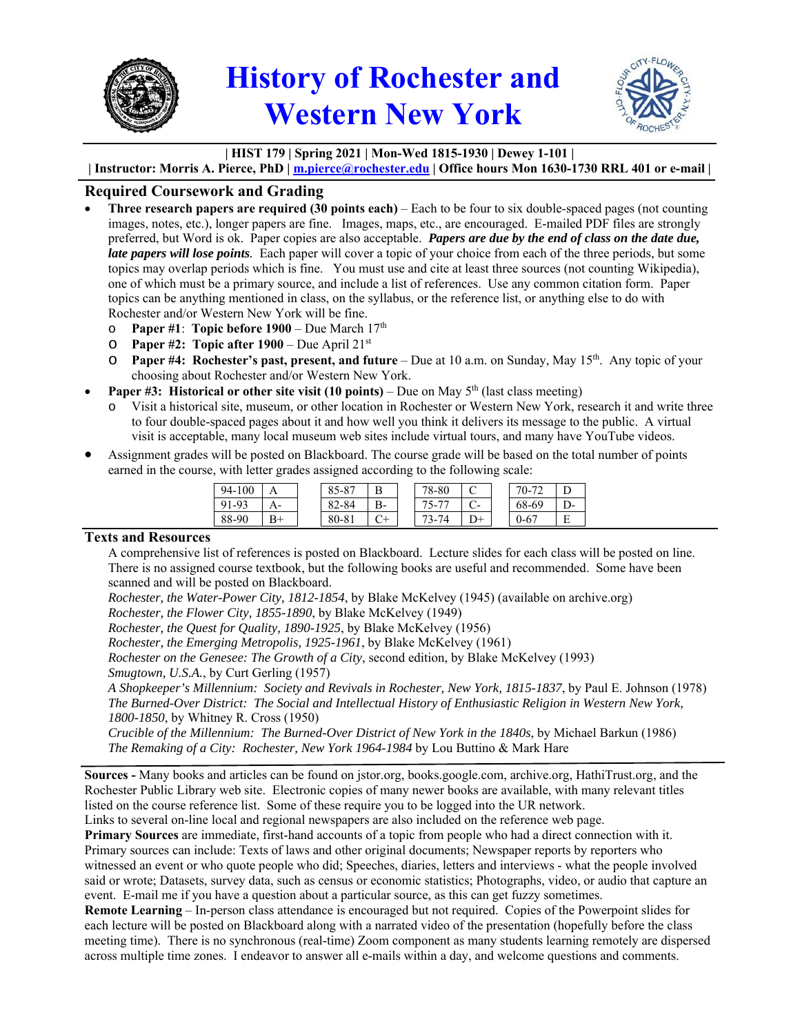

## **History of Rochester and Western New York**



## **| HIST 179 | Spring 2021 | Mon-Wed 1815-1930 | Dewey 1-101 |**

**| Instructor: Morris A. Pierce, PhD | m.pierce@rochester.edu | Office hours Mon 1630-1730 RRL 401 or e-mail |** 

## **Required Coursework and Grading**

- **Three research papers are required (30 points each)** Each to be four to six double-spaced pages (not counting images, notes, etc.), longer papers are fine. Images, maps, etc., are encouraged. E-mailed PDF files are strongly preferred, but Word is ok. Paper copies are also acceptable. *Papers are due by the end of class on the date due, late papers will lose points.* Each paper will cover a topic of your choice from each of the three periods, but some topics may overlap periods which is fine. You must use and cite at least three sources (not counting Wikipedia), one of which must be a primary source, and include a list of references. Use any common citation form. Paper topics can be anything mentioned in class, on the syllabus, or the reference list, or anything else to do with Rochester and/or Western New York will be fine.
	- o **Paper #1**: **Topic before 1900** Due March 17th
	- o **Paper #2: Topic after 1900** Due April 21st
	- o **Paper #4: Rochester's past, present, and future** Due at 10 a.m. on Sunday, May 15th. Any topic of your choosing about Rochester and/or Western New York.
- **Paper #3: Historical or other site visit (10 points)** Due on May 5<sup>th</sup> (last class meeting)
	- Visit a historical site, museum, or other location in Rochester or Western New York, research it and write three to four double-spaced pages about it and how well you think it delivers its message to the public. A virtual visit is acceptable, many local museum web sites include virtual tours, and many have YouTube videos.
- Assignment grades will be posted on Blackboard. The course grade will be based on the total number of points earned in the course, with letter grades assigned according to the following scale:

| 94-100 |                | O <sub>7</sub><br>OΣ<br>82-8 |    | 78-80                          |                  | $\overline{\phantom{a}}$<br>$70-$ |    |
|--------|----------------|------------------------------|----|--------------------------------|------------------|-----------------------------------|----|
| $1-97$ | -              | :-84<br>$\Omega$             | В- | $\overline{\phantom{m}}$<br>-י | $\mathord{\sim}$ | 68-69                             | D- |
| 88-90  | $\mathbf{D} +$ | 80-81                        | ∼⊥ | J-                             | $\Gamma$         | 0-67                              | E  |

## **Texts and Resources**

A comprehensive list of references is posted on Blackboard. Lecture slides for each class will be posted on line. There is no assigned course textbook, but the following books are useful and recommended. Some have been scanned and will be posted on Blackboard.

*Rochester, the Water-Power City, 1812-1854*, by Blake McKelvey (1945) (available on archive.org)

*Rochester, the Flower City, 1855-1890*, by Blake McKelvey (1949)

*Rochester, the Quest for Quality, 1890-1925*, by Blake McKelvey (1956)

*Rochester, the Emerging Metropolis, 1925-1961*, by Blake McKelvey (1961)

*Rochester on the Genesee: The Growth of a City*, second edition, by Blake McKelvey (1993) *Smugtown, U.S.A.*, by Curt Gerling (1957)

*A Shopkeeper's Millennium: Society and Revivals in Rochester, New York, 1815-1837*, by Paul E. Johnson (1978) *The Burned-Over District: The Social and Intellectual History of Enthusiastic Religion in Western New York, 1800-1850*, by Whitney R. Cross (1950)

*Crucible of the Millennium: The Burned-Over District of New York in the 1840s*, by Michael Barkun (1986) *The Remaking of a City: Rochester, New York 1964-1984* by Lou Buttino & Mark Hare

**Sources -** Many books and articles can be found on jstor.org, books.google.com, archive.org, HathiTrust.org, and the Rochester Public Library web site. Electronic copies of many newer books are available, with many relevant titles listed on the course reference list. Some of these require you to be logged into the UR network.

Links to several on-line local and regional newspapers are also included on the reference web page.

**Primary Sources** are immediate, first-hand accounts of a topic from people who had a direct connection with it. Primary sources can include: Texts of laws and other original documents; Newspaper reports by reporters who witnessed an event or who quote people who did; Speeches, diaries, letters and interviews - what the people involved said or wrote; Datasets, survey data, such as census or economic statistics; Photographs, video, or audio that capture an event. E-mail me if you have a question about a particular source, as this can get fuzzy sometimes.

**Remote Learning** – In-person class attendance is encouraged but not required. Copies of the Powerpoint slides for each lecture will be posted on Blackboard along with a narrated video of the presentation (hopefully before the class meeting time). There is no synchronous (real-time) Zoom component as many students learning remotely are dispersed across multiple time zones. I endeavor to answer all e-mails within a day, and welcome questions and comments.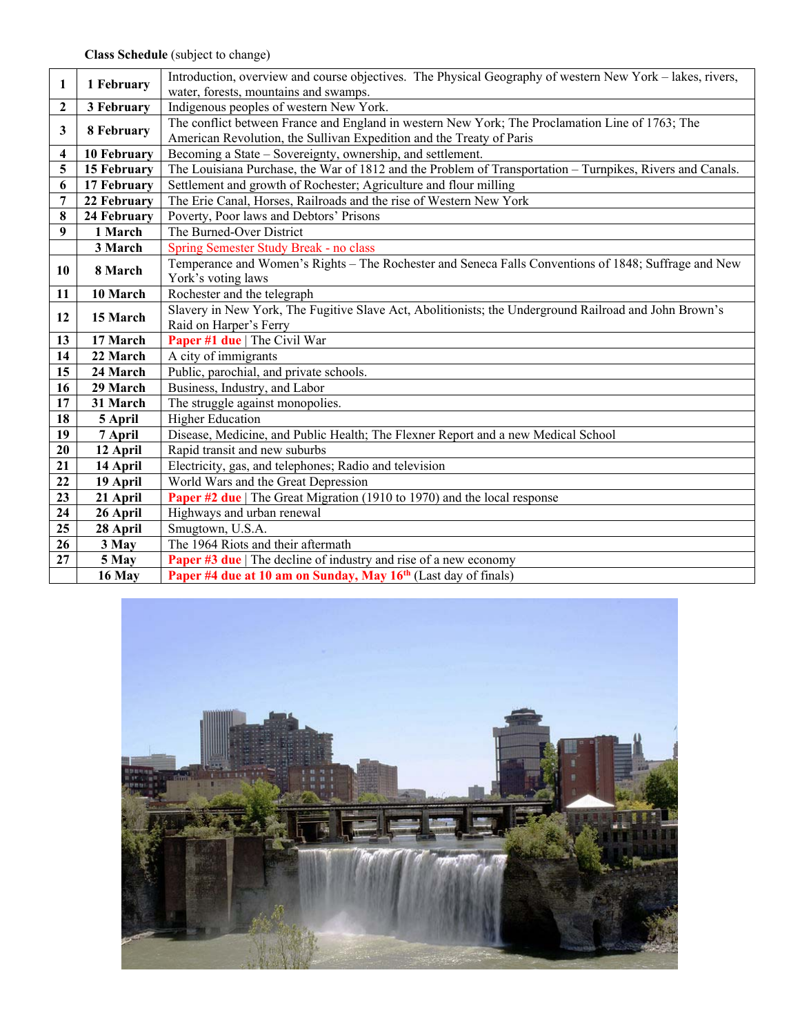| $\mathbf{1}$     | 1 February            | Introduction, overview and course objectives. The Physical Geography of western New York – lakes, rivers, |  |  |  |  |  |
|------------------|-----------------------|-----------------------------------------------------------------------------------------------------------|--|--|--|--|--|
|                  |                       | water, forests, mountains and swamps.                                                                     |  |  |  |  |  |
| $\boldsymbol{2}$ | 3 February            | Indigenous peoples of western New York.                                                                   |  |  |  |  |  |
| 3                | 8 February            | The conflict between France and England in western New York; The Proclamation Line of 1763; The           |  |  |  |  |  |
|                  |                       | American Revolution, the Sullivan Expedition and the Treaty of Paris                                      |  |  |  |  |  |
| 4                | 10 February           | Becoming a State – Sovereignty, ownership, and settlement.                                                |  |  |  |  |  |
| 5                | 15 February           | The Louisiana Purchase, the War of 1812 and the Problem of Transportation – Turnpikes, Rivers and Canals. |  |  |  |  |  |
| 6                | 17 February           | Settlement and growth of Rochester; Agriculture and flour milling                                         |  |  |  |  |  |
| $\overline{7}$   | 22 February           | The Erie Canal, Horses, Railroads and the rise of Western New York                                        |  |  |  |  |  |
| 8                | 24 February           | Poverty, Poor laws and Debtors' Prisons                                                                   |  |  |  |  |  |
| 9                | 1 March               | The Burned-Over District                                                                                  |  |  |  |  |  |
|                  | 3 March               | Spring Semester Study Break - no class                                                                    |  |  |  |  |  |
| 10               | 8 March               | Temperance and Women's Rights – The Rochester and Seneca Falls Conventions of 1848; Suffrage and New      |  |  |  |  |  |
|                  |                       | York's voting laws                                                                                        |  |  |  |  |  |
| 11               | $\overline{10}$ March | Rochester and the telegraph                                                                               |  |  |  |  |  |
| 12               | 15 March              | Slavery in New York, The Fugitive Slave Act, Abolitionists; the Underground Railroad and John Brown's     |  |  |  |  |  |
|                  |                       | Raid on Harper's Ferry                                                                                    |  |  |  |  |  |
| 13               | 17 March              | Paper #1 due   The Civil War                                                                              |  |  |  |  |  |
| 14               | 22 March              | A city of immigrants                                                                                      |  |  |  |  |  |
| 15               | 24 March              | Public, parochial, and private schools.                                                                   |  |  |  |  |  |
| 16               | 29 March              | Business, Industry, and Labor                                                                             |  |  |  |  |  |
| 17               | 31 March              | The struggle against monopolies.                                                                          |  |  |  |  |  |
| 18               | 5 April               | <b>Higher Education</b>                                                                                   |  |  |  |  |  |
| 19               | 7 April               | Disease, Medicine, and Public Health; The Flexner Report and a new Medical School                         |  |  |  |  |  |
| 20               | 12 April              | Rapid transit and new suburbs                                                                             |  |  |  |  |  |
| 21               | 14 April              | Electricity, gas, and telephones; Radio and television                                                    |  |  |  |  |  |
| 22               | 19 April              | World Wars and the Great Depression                                                                       |  |  |  |  |  |
| 23               | 21 April              | Paper #2 due   The Great Migration (1910 to 1970) and the local response                                  |  |  |  |  |  |
| 24               | 26 April              | Highways and urban renewal                                                                                |  |  |  |  |  |
| 25               | 28 April              | Smugtown, U.S.A.                                                                                          |  |  |  |  |  |
| 26               | 3 May                 | The 1964 Riots and their aftermath                                                                        |  |  |  |  |  |
| $\overline{27}$  | 5 May                 | <b>Paper #3 due</b>   The decline of industry and rise of a new economy                                   |  |  |  |  |  |
|                  | 16 May                | Paper #4 due at 10 am on Sunday, May 16 <sup>th</sup> (Last day of finals)                                |  |  |  |  |  |